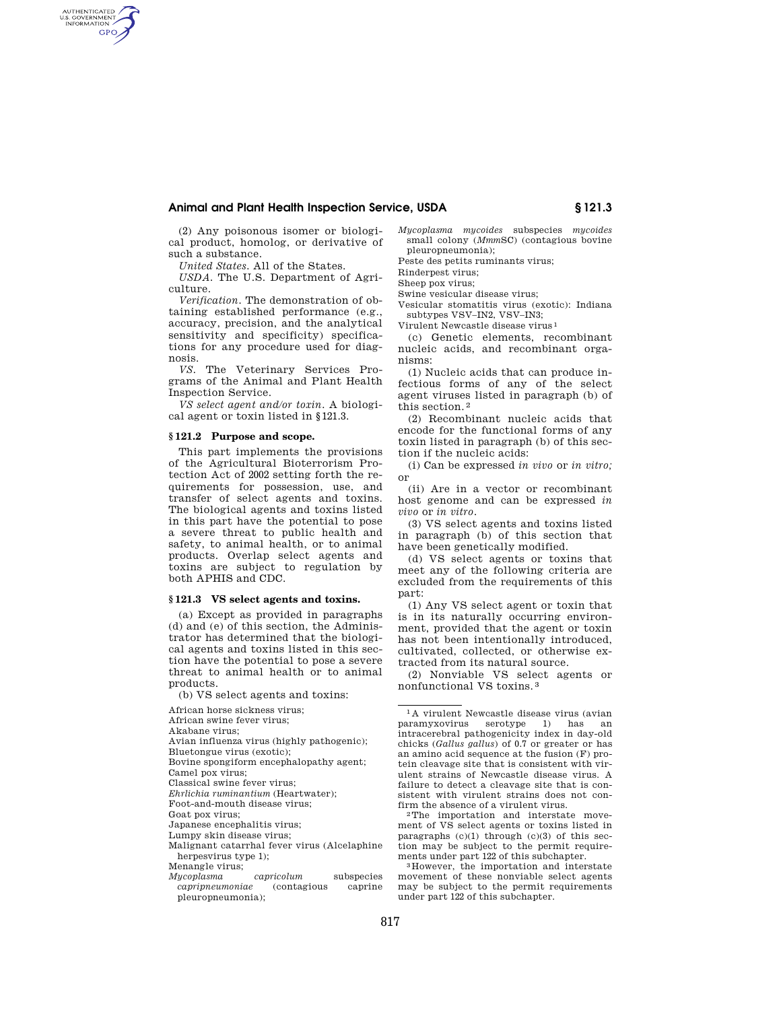## **Animal and Plant Health Inspection Service, USDA § 121.3**

(2) Any poisonous isomer or biological product, homolog, or derivative of such a substance.

*United States.* All of the States.

AUTHENTICATED<br>U.S. GOVERNMENT<br>INFORMATION **GPO** 

> *USDA.* The U.S. Department of Agriculture.

> *Verification.* The demonstration of obtaining established performance (e.g., accuracy, precision, and the analytical sensitivity and specificity) specifications for any procedure used for diagnosis.

> *VS.* The Veterinary Services Programs of the Animal and Plant Health Inspection Service.

> *VS select agent and/or toxin.* A biological agent or toxin listed in §121.3.

## **§ 121.2 Purpose and scope.**

This part implements the provisions of the Agricultural Bioterrorism Protection Act of 2002 setting forth the requirements for possession, use, and transfer of select agents and toxins. The biological agents and toxins listed in this part have the potential to pose a severe threat to public health and safety, to animal health, or to animal products. Overlap select agents and toxins are subject to regulation by both APHIS and CDC.

## **§ 121.3 VS select agents and toxins.**

(a) Except as provided in paragraphs (d) and (e) of this section, the Administrator has determined that the biological agents and toxins listed in this section have the potential to pose a severe threat to animal health or to animal products.

(b) VS select agents and toxins:

African horse sickness virus;

African swine fever virus;

Akabane virus;

Avian influenza virus (highly pathogenic);

Bluetongue virus (exotic); Bovine spongiform encephalopathy agent;

Camel pox virus;

Classical swine fever virus;

*Ehrlichia ruminantium* (Heartwater); Foot-and-mouth disease virus;

Goat pox virus; Japanese encephalitis virus;

Lumpy skin disease virus;

Malignant catarrhal fever virus (Alcelaphine herpesvirus type 1):

Menangle virus;

*Mycoplasma capricolum* subspecies *capripneumoniae* (contagious caprine pleuropneumonia);

*Mycoplasma mycoides* subspecies *mycoides*  small colony (*Mmm*SC) (contagious bovine pleuropneumonia);

Peste des petits ruminants virus;

Rinderpest virus;

Sheep pox virus; Swine vesicular disease virus;

Vesicular stomatitis virus (exotic): Indiana subtypes VSV–IN2, VSV–IN3;

Virulent Newcastle disease virus 1

(c) Genetic elements, recombinant nucleic acids, and recombinant organisms:

(1) Nucleic acids that can produce infectious forms of any of the select agent viruses listed in paragraph (b) of this section. 2

(2) Recombinant nucleic acids that encode for the functional forms of any toxin listed in paragraph (b) of this section if the nucleic acids:

(i) Can be expressed *in vivo* or *in vitro;*  or

(ii) Are in a vector or recombinant host genome and can be expressed *in vivo* or *in vitro.* 

(3) VS select agents and toxins listed in paragraph (b) of this section that have been genetically modified.

(d) VS select agents or toxins that meet any of the following criteria are excluded from the requirements of this part:

(1) Any VS select agent or toxin that is in its naturally occurring environment, provided that the agent or toxin has not been intentionally introduced, cultivated, collected, or otherwise extracted from its natural source.

(2) Nonviable VS select agents or nonfunctional VS toxins. 3

1 A virulent Newcastle disease virus (avian paramyxovirus serotype 1) has an intracerebral pathogenicity index in day-old chicks (*Gallus gallus*) of 0.7 or greater or has an amino acid sequence at the fusion (F) protein cleavage site that is consistent with virulent strains of Newcastle disease virus. A failure to detect a cleavage site that is consistent with virulent strains does not con-<br>firm the absence of a virulent virus.

<sup>2</sup>The importation and interstate movement of VS select agents or toxins listed in paragraphs  $(c)(1)$  through  $(c)(3)$  of this section may be subject to the permit requirements under part 122 of this subchapter. 3 However, the importation and interstate

movement of these nonviable select agents may be subject to the permit requirements under part 122 of this subchapter.